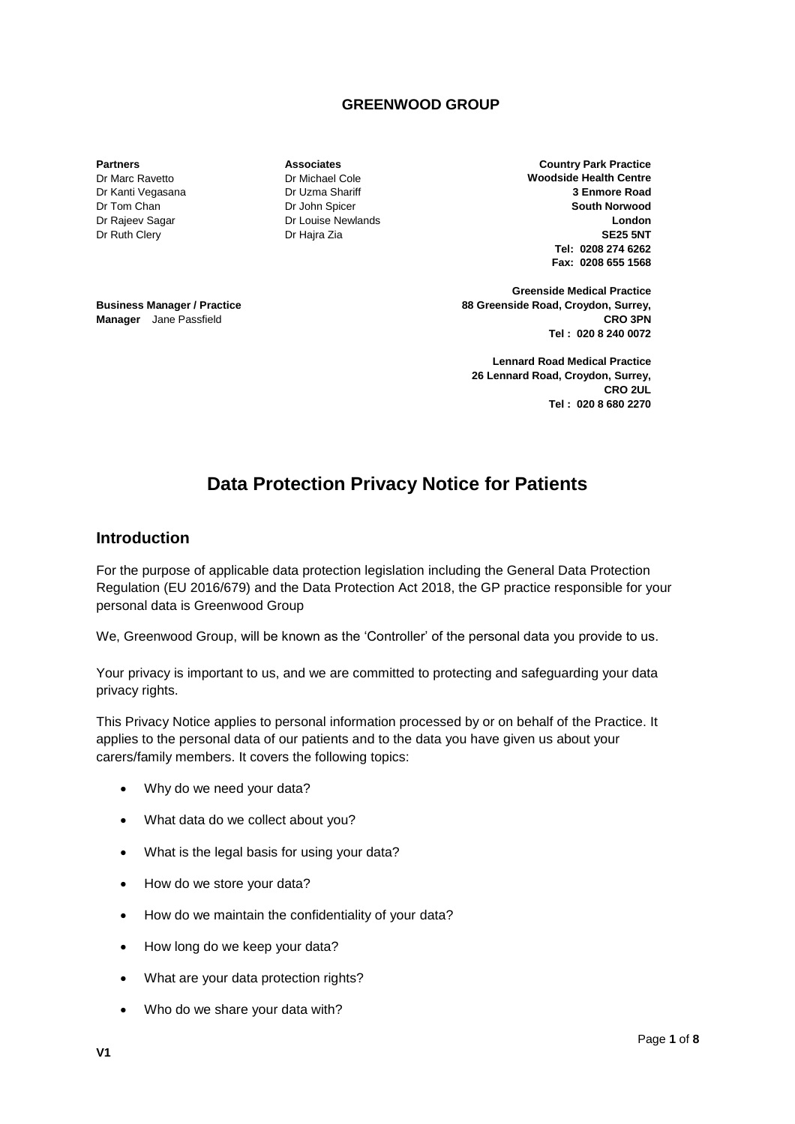### **GREENWOOD GROUP**

**Partners**

Dr Marc Ravetto Dr Kanti Vegasana Dr Tom Chan Dr Rajeev Sagar Dr Ruth Clery

**Business Manager / Practice Manager** Jane Passfield

**Associates** Dr Michael Cole Dr Uzma Shariff Dr John Spicer Dr Louise Newlands Dr Hajra Zia

**Country Park Practice Woodside Health Centre 3 Enmore Road South Norwood London SE25 5NT Tel: 0208 274 6262 Fax: 0208 655 1568**

**Greenside Medical Practice 88 Greenside Road, Croydon, Surrey, CRO 3PN Tel : 020 8 240 0072**

**Lennard Road Medical Practice 26 Lennard Road, Croydon, Surrey, CRO 2UL Tel : 020 8 680 2270**

# **Data Protection Privacy Notice for Patients**

#### **Introduction**

For the purpose of applicable data protection legislation including the General Data Protection Regulation (EU 2016/679) and the Data Protection Act 2018, the GP practice responsible for your personal data is Greenwood Group

We, Greenwood Group, will be known as the 'Controller' of the personal data you provide to us.

Your privacy is important to us, and we are committed to protecting and safeguarding your data privacy rights.

This Privacy Notice applies to personal information processed by or on behalf of the Practice. It applies to the personal data of our patients and to the data you have given us about your carers/family members. It covers the following topics:

- Why do we need your data?
- What data do we collect about you?
- What is the legal basis for using your data?
- How do we store your data?
- How do we maintain the confidentiality of your data?
- How long do we keep your data?
- What are your data protection rights?
- Who do we share your data with?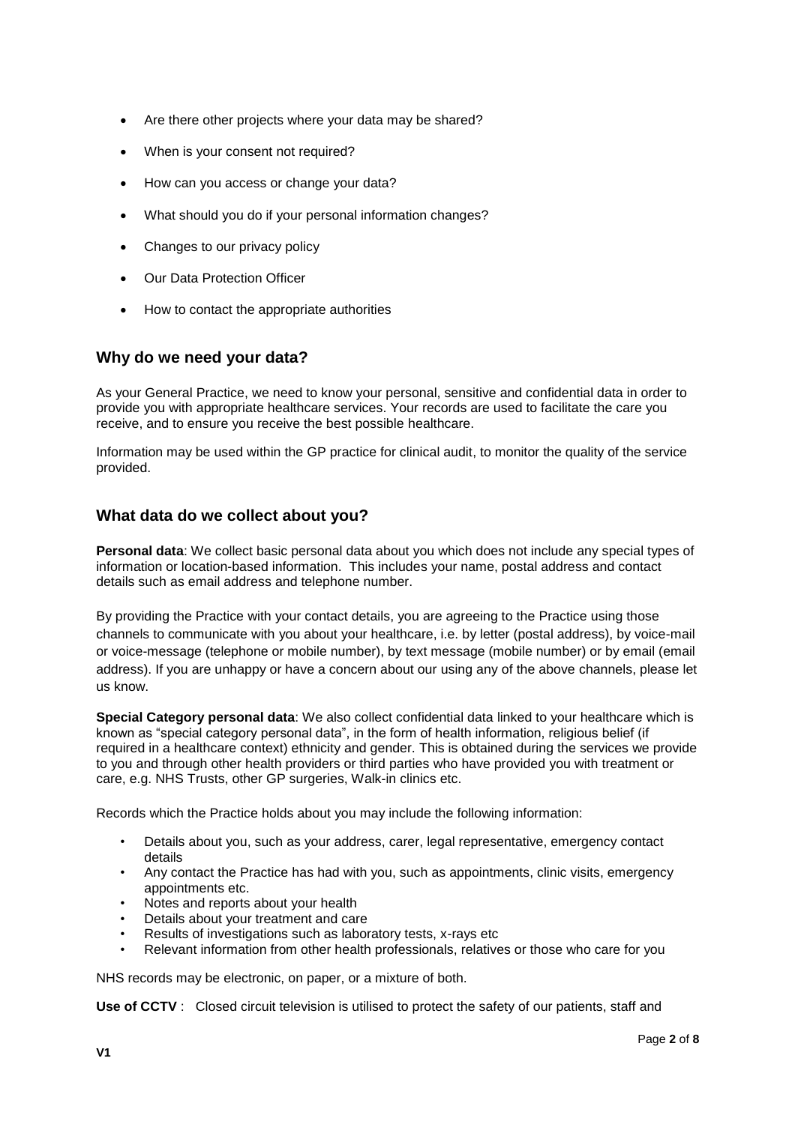- Are there other projects where your data may be shared?
- When is your consent not required?
- How can you access or change your data?
- What should you do if your personal information changes?
- Changes to our privacy policy
- Our Data Protection Officer
- How to contact the appropriate authorities

### **Why do we need your data?**

As your General Practice, we need to know your personal, sensitive and confidential data in order to provide you with appropriate healthcare services. Your records are used to facilitate the care you receive, and to ensure you receive the best possible healthcare.

Information may be used within the GP practice for clinical audit, to monitor the quality of the service provided.

### **What data do we collect about you?**

**Personal data**: We collect basic personal data about you which does not include any special types of information or location-based information. This includes your name, postal address and contact details such as email address and telephone number.

By providing the Practice with your contact details, you are agreeing to the Practice using those channels to communicate with you about your healthcare, i.e. by letter (postal address), by voice-mail or voice-message (telephone or mobile number), by text message (mobile number) or by email (email address). If you are unhappy or have a concern about our using any of the above channels, please let us know.

**Special Category personal data**: We also collect confidential data linked to your healthcare which is known as "special category personal data", in the form of health information, religious belief (if required in a healthcare context) ethnicity and gender. This is obtained during the services we provide to you and through other health providers or third parties who have provided you with treatment or care, e.g. NHS Trusts, other GP surgeries, Walk-in clinics etc.

Records which the Practice holds about you may include the following information:

- Details about you, such as your address, carer, legal representative, emergency contact details
- Any contact the Practice has had with you, such as appointments, clinic visits, emergency appointments etc.
- Notes and reports about your health
- Details about your treatment and care
- Results of investigations such as laboratory tests, x-rays etc
- Relevant information from other health professionals, relatives or those who care for you

NHS records may be electronic, on paper, or a mixture of both.

**Use of CCTV** : Closed circuit television is utilised to protect the safety of our patients, staff and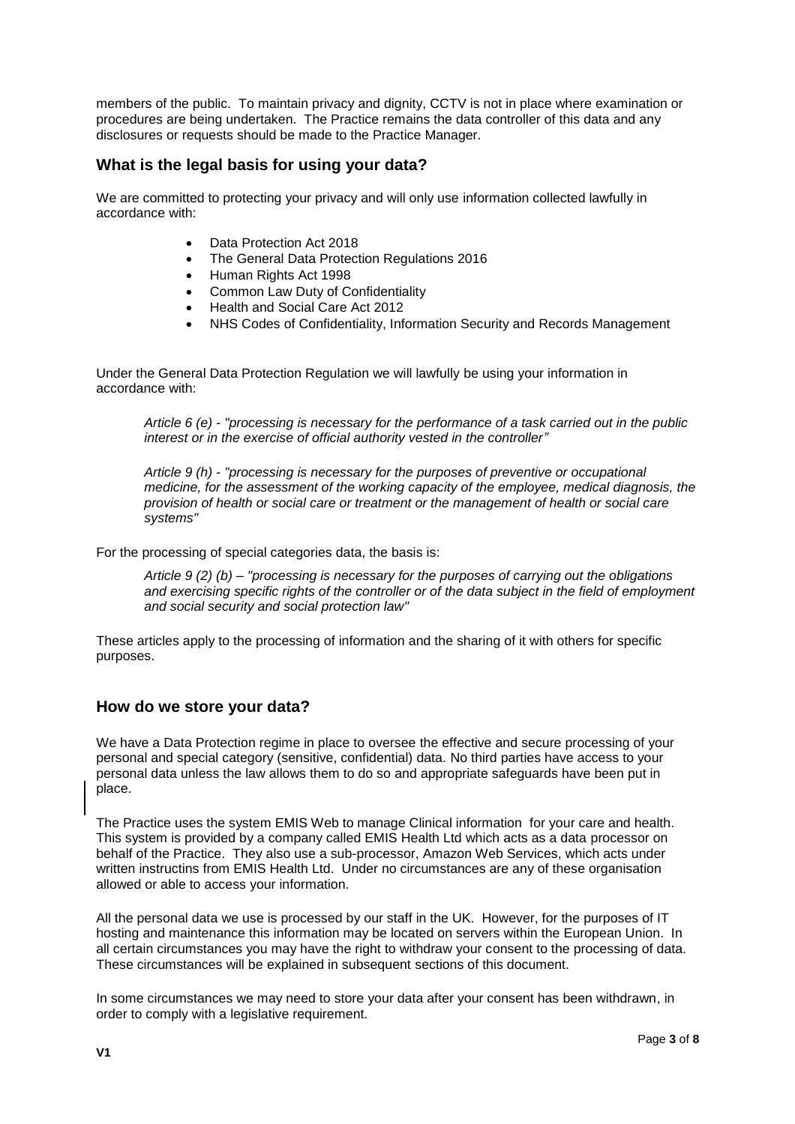members of the public. To maintain privacy and dignity, CCTV is not in place where examination or procedures are being undertaken. The Practice remains the data controller of this data and any disclosures or requests should be made to the Practice Manager.

### **What is the legal basis for using your data?**

We are committed to protecting your privacy and will only use information collected lawfully in accordance with:

- Data Protection Act 2018
- The General Data Protection Regulations 2016
- Human Rights Act 1998
- Common Law Duty of Confidentiality
- Health and Social Care Act 2012
- NHS Codes of Confidentiality, Information Security and Records Management

Under the General Data Protection Regulation we will lawfully be using your information in accordance with:

*Article 6 (e) - "processing is necessary for the performance of a task carried out in the public interest or in the exercise of official authority vested in the controller"*

*Article 9 (h) - "processing is necessary for the purposes of preventive or occupational medicine, for the assessment of the working capacity of the employee, medical diagnosis, the provision of health or social care or treatment or the management of health or social care systems"*

For the processing of special categories data, the basis is:

*Article 9 (2) (b) – "processing is necessary for the purposes of carrying out the obligations and exercising specific rights of the controller or of the data subject in the field of employment and social security and social protection law"*

These articles apply to the processing of information and the sharing of it with others for specific purposes.

### **How do we store your data?**

We have a Data Protection regime in place to oversee the effective and secure processing of your personal and special category (sensitive, confidential) data. No third parties have access to your personal data unless the law allows them to do so and appropriate safeguards have been put in place.

The Practice uses the system EMIS Web to manage Clinical information for your care and health. This system is provided by a company called EMIS Health Ltd which acts as a data processor on behalf of the Practice. They also use a sub-processor, Amazon Web Services, which acts under written instructins from EMIS Health Ltd. Under no circumstances are any of these organisation allowed or able to access your information.

All the personal data we use is processed by our staff in the UK. However, for the purposes of IT hosting and maintenance this information may be located on servers within the European Union. In all certain circumstances you may have the right to withdraw your consent to the processing of data. These circumstances will be explained in subsequent sections of this document.

In some circumstances we may need to store your data after your consent has been withdrawn, in order to comply with a legislative requirement.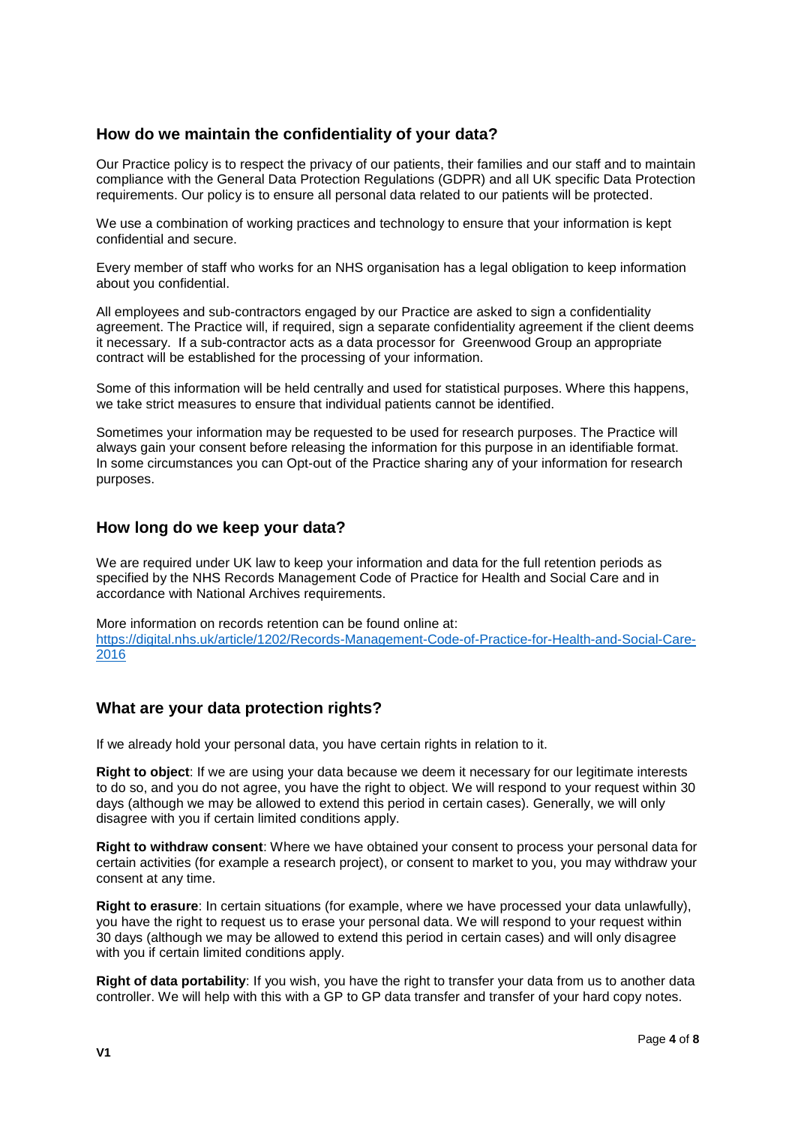## **How do we maintain the confidentiality of your data?**

Our Practice policy is to respect the privacy of our patients, their families and our staff and to maintain compliance with the General Data Protection Regulations (GDPR) and all UK specific Data Protection requirements. Our policy is to ensure all personal data related to our patients will be protected.

We use a combination of working practices and technology to ensure that your information is kept confidential and secure.

Every member of staff who works for an NHS organisation has a legal obligation to keep information about you confidential.

All employees and sub-contractors engaged by our Practice are asked to sign a confidentiality agreement. The Practice will, if required, sign a separate confidentiality agreement if the client deems it necessary. If a sub-contractor acts as a data processor for Greenwood Group an appropriate contract will be established for the processing of your information.

Some of this information will be held centrally and used for statistical purposes. Where this happens, we take strict measures to ensure that individual patients cannot be identified.

Sometimes your information may be requested to be used for research purposes. The Practice will always gain your consent before releasing the information for this purpose in an identifiable format. In some circumstances you can Opt-out of the Practice sharing any of your information for research purposes.

### **How long do we keep your data?**

We are required under UK law to keep your information and data for the full retention periods as specified by the NHS Records Management Code of Practice for Health and Social Care and in accordance with National Archives requirements.

More information on records retention can be found online at: [https://digital.nhs.uk/article/1202/Records-Management-Code-of-Practice-for-Health-and-Social-Care-](https://digital.nhs.uk/article/1202/Records-Management-Code-of-Practice-for-Health-and-Social-Care-2016)[2016](https://digital.nhs.uk/article/1202/Records-Management-Code-of-Practice-for-Health-and-Social-Care-2016)

## **What are your data protection rights?**

If we already hold your personal data, you have certain rights in relation to it.

**Right to object**: If we are using your data because we deem it necessary for our legitimate interests to do so, and you do not agree, you have the right to object. We will respond to your request within 30 days (although we may be allowed to extend this period in certain cases). Generally, we will only disagree with you if certain limited conditions apply.

**Right to withdraw consent**: Where we have obtained your consent to process your personal data for certain activities (for example a research project), or consent to market to you, you may withdraw your consent at any time.

**Right to erasure**: In certain situations (for example, where we have processed your data unlawfully), you have the right to request us to erase your personal data. We will respond to your request within 30 days (although we may be allowed to extend this period in certain cases) and will only disagree with you if certain limited conditions apply.

**Right of data portability**: If you wish, you have the right to transfer your data from us to another data controller. We will help with this with a GP to GP data transfer and transfer of your hard copy notes.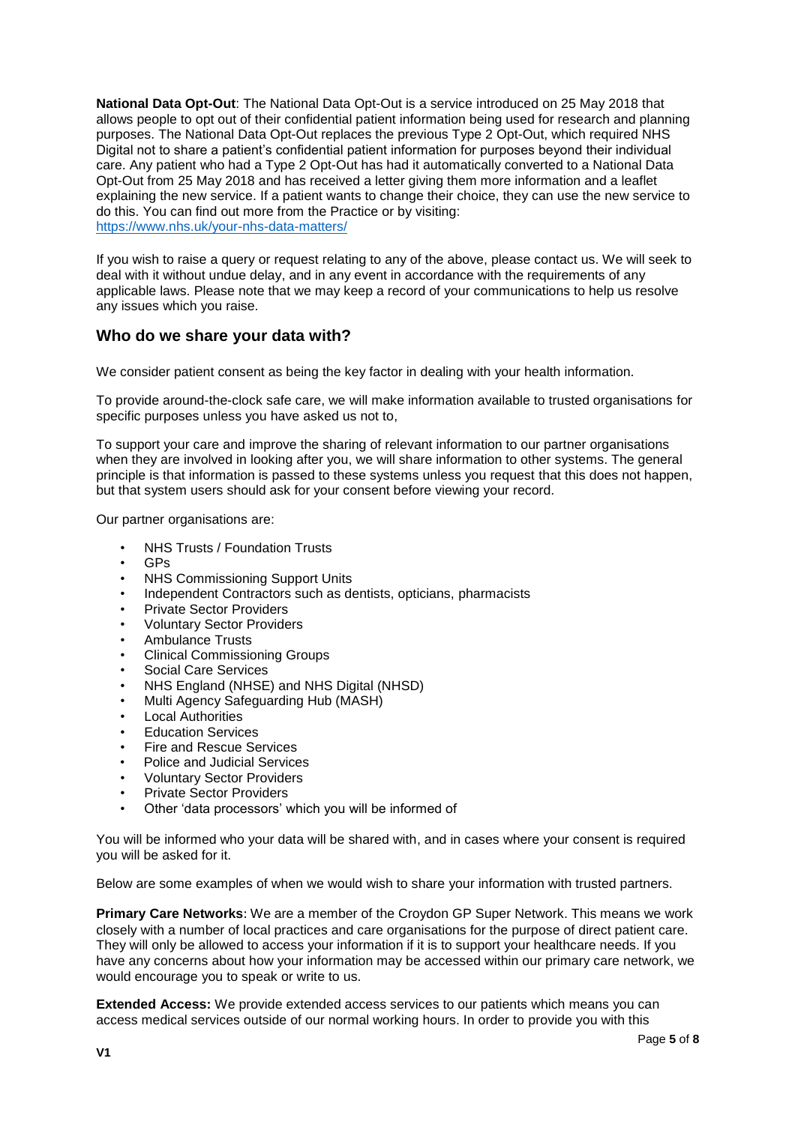**National Data Opt-Out**: The National Data Opt-Out is a service introduced on 25 May 2018 that allows people to opt out of their confidential patient information being used for research and planning purposes. The National Data Opt-Out replaces the previous Type 2 Opt-Out, which required NHS Digital not to share a patient's confidential patient information for purposes beyond their individual care. Any patient who had a Type 2 Opt-Out has had it automatically converted to a National Data Opt-Out from 25 May 2018 and has received a letter giving them more information and a leaflet explaining the new service. If a patient wants to change their choice, they can use the new service to do this. You can find out more from the Practice or by visiting: <https://www.nhs.uk/your-nhs-data-matters/>

If you wish to raise a query or request relating to any of the above, please contact us. We will seek to deal with it without undue delay, and in any event in accordance with the requirements of any applicable laws. Please note that we may keep a record of your communications to help us resolve any issues which you raise.

### **Who do we share your data with?**

We consider patient consent as being the key factor in dealing with your health information.

To provide around-the-clock safe care, we will make information available to trusted organisations for specific purposes unless you have asked us not to,

To support your care and improve the sharing of relevant information to our partner organisations when they are involved in looking after you, we will share information to other systems. The general principle is that information is passed to these systems unless you request that this does not happen, but that system users should ask for your consent before viewing your record.

Our partner organisations are:

- NHS Trusts / Foundation Trusts
- GPs
- NHS Commissioning Support Units
- Independent Contractors such as dentists, opticians, pharmacists
- Private Sector Providers
- Voluntary Sector Providers
- Ambulance Trusts
- Clinical Commissioning Groups
- Social Care Services
- NHS England (NHSE) and NHS Digital (NHSD)
- Multi Agency Safeguarding Hub (MASH)
- Local Authorities
- Education Services
- Fire and Rescue Services
- Police and Judicial Services
- Voluntary Sector Providers
- Private Sector Providers
- Other 'data processors' which you will be informed of

You will be informed who your data will be shared with, and in cases where your consent is required you will be asked for it.

Below are some examples of when we would wish to share your information with trusted partners.

**Primary Care Networks**: We are a member of the Croydon GP Super Network. This means we work closely with a number of local practices and care organisations for the purpose of direct patient care. They will only be allowed to access your information if it is to support your healthcare needs. If you have any concerns about how your information may be accessed within our primary care network, we would encourage you to speak or write to us.

**Extended Access:** We provide extended access services to our patients which means you can access medical services outside of our normal working hours. In order to provide you with this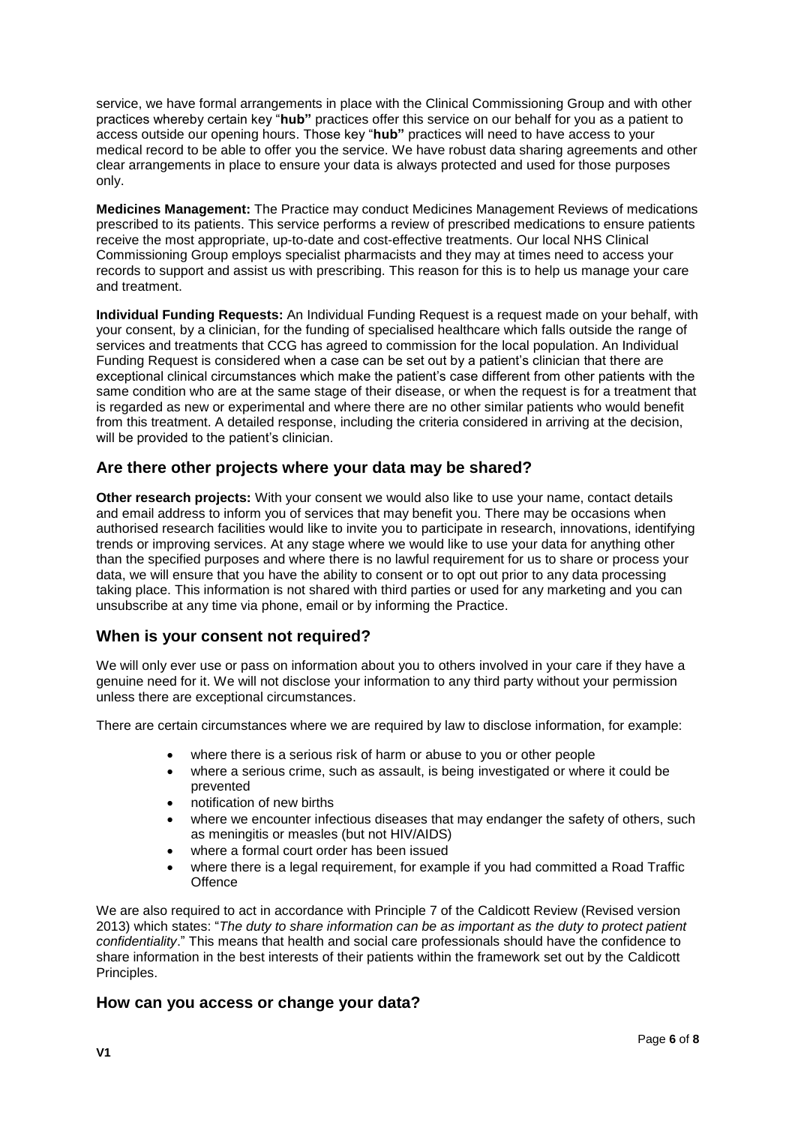service, we have formal arrangements in place with the Clinical Commissioning Group and with other practices whereby certain key "**hub"** practices offer this service on our behalf for you as a patient to access outside our opening hours. Those key "**hub"** practices will need to have access to your medical record to be able to offer you the service. We have robust data sharing agreements and other clear arrangements in place to ensure your data is always protected and used for those purposes only.

**Medicines Management:** The Practice may conduct Medicines Management Reviews of medications prescribed to its patients. This service performs a review of prescribed medications to ensure patients receive the most appropriate, up-to-date and cost-effective treatments. Our local NHS Clinical Commissioning Group employs specialist pharmacists and they may at times need to access your records to support and assist us with prescribing. This reason for this is to help us manage your care and treatment.

**Individual Funding Requests:** An Individual Funding Request is a request made on your behalf, with your consent, by a clinician, for the funding of specialised healthcare which falls outside the range of services and treatments that CCG has agreed to commission for the local population. An Individual Funding Request is considered when a case can be set out by a patient's clinician that there are exceptional clinical circumstances which make the patient's case different from other patients with the same condition who are at the same stage of their disease, or when the request is for a treatment that is regarded as new or experimental and where there are no other similar patients who would benefit from this treatment. A detailed response, including the criteria considered in arriving at the decision, will be provided to the patient's clinician.

## **Are there other projects where your data may be shared?**

**Other research projects:** With your consent we would also like to use your name, contact details and email address to inform you of services that may benefit you. There may be occasions when authorised research facilities would like to invite you to participate in research, innovations, identifying trends or improving services. At any stage where we would like to use your data for anything other than the specified purposes and where there is no lawful requirement for us to share or process your data, we will ensure that you have the ability to consent or to opt out prior to any data processing taking place. This information is not shared with third parties or used for any marketing and you can unsubscribe at any time via phone, email or by informing the Practice.

### **When is your consent not required?**

We will only ever use or pass on information about you to others involved in your care if they have a genuine need for it. We will not disclose your information to any third party without your permission unless there are exceptional circumstances.

There are certain circumstances where we are required by law to disclose information, for example:

- where there is a serious risk of harm or abuse to you or other people
- where a serious crime, such as assault, is being investigated or where it could be prevented
- notification of new births
- where we encounter infectious diseases that may endanger the safety of others, such as meningitis or measles (but not HIV/AIDS)
- where a formal court order has been issued
- where there is a legal requirement, for example if you had committed a Road Traffic **Offence**

We are also required to act in accordance with Principle 7 of the Caldicott Review (Revised version 2013) which states: "*The duty to share information can be as important as the duty to protect patient confidentiality*." This means that health and social care professionals should have the confidence to share information in the best interests of their patients within the framework set out by the Caldicott Principles.

### **How can you access or change your data?**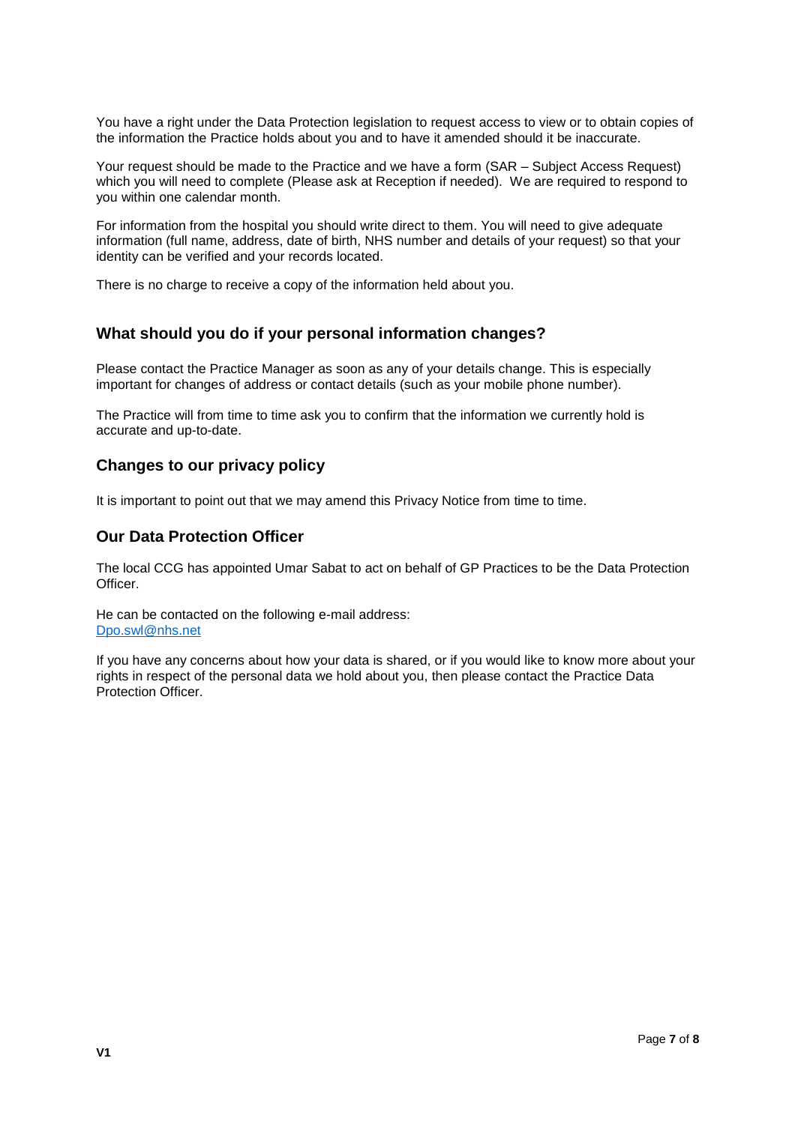You have a right under the Data Protection legislation to request access to view or to obtain copies of the information the Practice holds about you and to have it amended should it be inaccurate.

Your request should be made to the Practice and we have a form (SAR – Subject Access Request) which you will need to complete (Please ask at Reception if needed). We are required to respond to you within one calendar month.

For information from the hospital you should write direct to them. You will need to give adequate information (full name, address, date of birth, NHS number and details of your request) so that your identity can be verified and your records located.

There is no charge to receive a copy of the information held about you.

### **What should you do if your personal information changes?**

Please contact the Practice Manager as soon as any of your details change. This is especially important for changes of address or contact details (such as your mobile phone number).

The Practice will from time to time ask you to confirm that the information we currently hold is accurate and up-to-date.

### **Changes to our privacy policy**

It is important to point out that we may amend this Privacy Notice from time to time.

### **Our Data Protection Officer**

The local CCG has appointed Umar Sabat to act on behalf of GP Practices to be the Data Protection Officer.

He can be contacted on the following e-mail address: [Dpo.swl@nhs.net](mailto:Dpo.swl@nhs.net)

If you have any concerns about how your data is shared, or if you would like to know more about your rights in respect of the personal data we hold about you, then please contact the Practice Data Protection Officer.